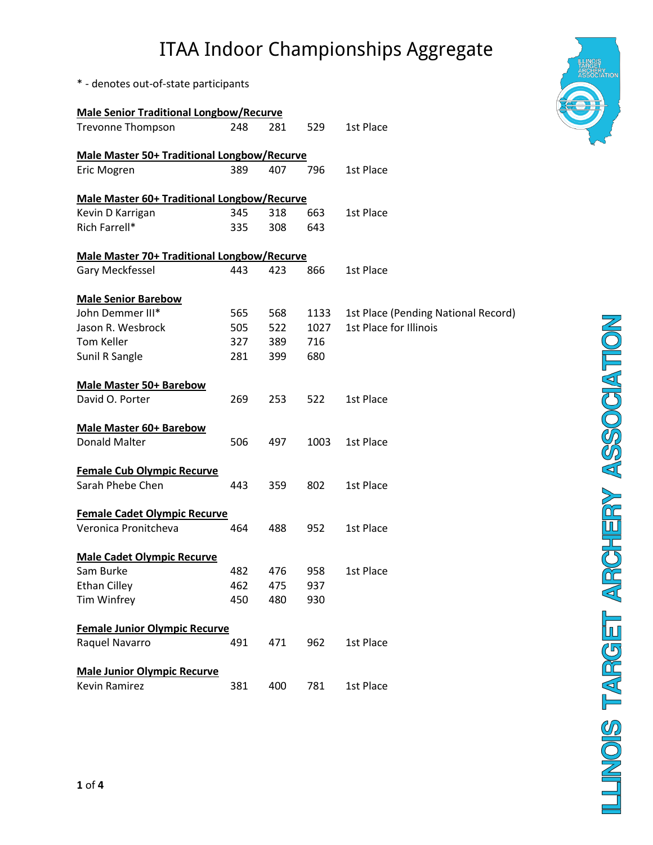\* - denotes out-of-state participants

| <b>Male Senior Traditional Longbow/Recurve</b>     |     |     |      |                                     |  |  |  |  |  |
|----------------------------------------------------|-----|-----|------|-------------------------------------|--|--|--|--|--|
| <b>Trevonne Thompson</b>                           | 248 | 281 | 529  | 1st Place                           |  |  |  |  |  |
| <b>Male Master 50+ Traditional Longbow/Recurve</b> |     |     |      |                                     |  |  |  |  |  |
| Eric Mogren                                        | 389 | 407 | 796  | 1st Place                           |  |  |  |  |  |
| <b>Male Master 60+ Traditional Longbow/Recurve</b> |     |     |      |                                     |  |  |  |  |  |
| Kevin D Karrigan                                   | 345 | 318 | 663  | 1st Place                           |  |  |  |  |  |
| Rich Farrell*                                      | 335 | 308 | 643  |                                     |  |  |  |  |  |
| <b>Male Master 70+ Traditional Longbow/Recurve</b> |     |     |      |                                     |  |  |  |  |  |
| Gary Meckfessel                                    | 443 | 423 | 866  | 1st Place                           |  |  |  |  |  |
| <b>Male Senior Barebow</b>                         |     |     |      |                                     |  |  |  |  |  |
| John Demmer III*                                   | 565 | 568 | 1133 | 1st Place (Pending National Record) |  |  |  |  |  |
| Jason R. Wesbrock                                  | 505 | 522 | 1027 | 1st Place for Illinois              |  |  |  |  |  |
| Tom Keller                                         | 327 | 389 | 716  |                                     |  |  |  |  |  |
| Sunil R Sangle                                     | 281 | 399 | 680  |                                     |  |  |  |  |  |
| <b>Male Master 50+ Barebow</b>                     |     |     |      |                                     |  |  |  |  |  |
| David O. Porter                                    | 269 | 253 | 522  | 1st Place                           |  |  |  |  |  |
| <b>Male Master 60+ Barebow</b>                     |     |     |      |                                     |  |  |  |  |  |
| <b>Donald Malter</b>                               | 506 | 497 | 1003 | 1st Place                           |  |  |  |  |  |
| <b>Female Cub Olympic Recurve</b>                  |     |     |      |                                     |  |  |  |  |  |
| Sarah Phebe Chen                                   | 443 | 359 | 802  | 1st Place                           |  |  |  |  |  |
| <b>Female Cadet Olympic Recurve</b>                |     |     |      |                                     |  |  |  |  |  |
| Veronica Pronitcheva                               | 464 | 488 | 952  | 1st Place                           |  |  |  |  |  |
| <b>Male Cadet Olympic Recurve</b>                  |     |     |      |                                     |  |  |  |  |  |
| Sam Burke                                          | 482 | 476 | 958  | 1st Place                           |  |  |  |  |  |
| <b>Ethan Cilley</b>                                | 462 | 475 | 937  |                                     |  |  |  |  |  |
| Tim Winfrey                                        | 450 | 480 | 930  |                                     |  |  |  |  |  |
| <b>Female Junior Olympic Recurve</b>               |     |     |      |                                     |  |  |  |  |  |
| Raquel Navarro                                     | 491 | 471 | 962  | 1st Place                           |  |  |  |  |  |
| <b>Male Junior Olympic Recurve</b>                 |     |     |      |                                     |  |  |  |  |  |
| <b>Kevin Ramirez</b>                               | 381 | 400 | 781  | 1st Place                           |  |  |  |  |  |

LUNOIS TARGET ARCHERY ASSOCIATION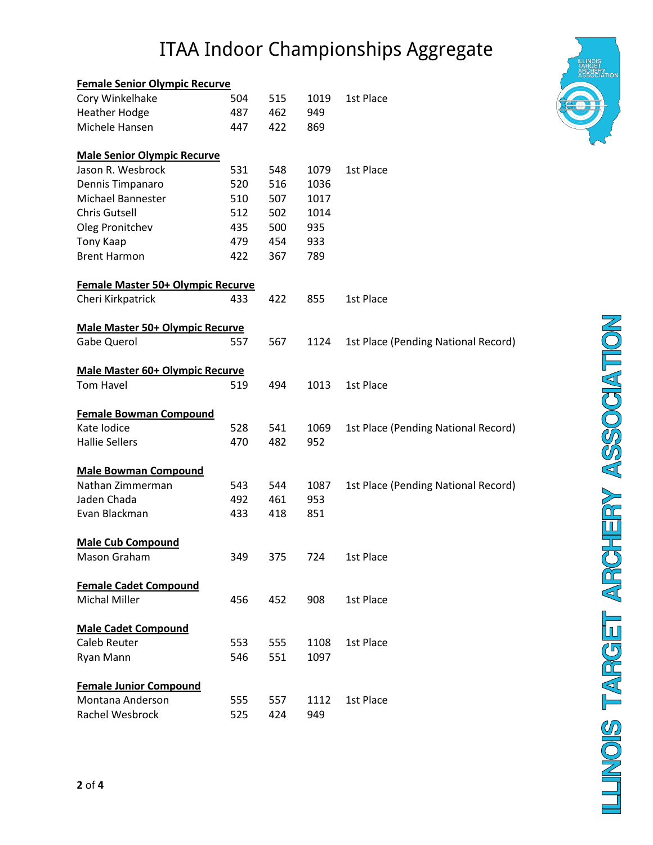| <b>Female Senior Olympic Recurve</b>   |     |     |      |                                     |
|----------------------------------------|-----|-----|------|-------------------------------------|
| Cory Winkelhake                        | 504 | 515 | 1019 | 1st Place                           |
| <b>Heather Hodge</b>                   | 487 | 462 | 949  |                                     |
| Michele Hansen                         | 447 | 422 | 869  |                                     |
| <b>Male Senior Olympic Recurve</b>     |     |     |      |                                     |
| Jason R. Wesbrock                      | 531 | 548 | 1079 | 1st Place                           |
| Dennis Timpanaro                       | 520 | 516 | 1036 |                                     |
| Michael Bannester                      | 510 | 507 | 1017 |                                     |
| <b>Chris Gutsell</b>                   | 512 | 502 | 1014 |                                     |
| Oleg Pronitchev                        | 435 | 500 | 935  |                                     |
| Tony Kaap                              | 479 | 454 | 933  |                                     |
| <b>Brent Harmon</b>                    | 422 | 367 | 789  |                                     |
| Female Master 50+ Olympic Recurve      |     |     |      |                                     |
| Cheri Kirkpatrick                      | 433 | 422 | 855  | 1st Place                           |
| <b>Male Master 50+ Olympic Recurve</b> |     |     |      |                                     |
| <b>Gabe Querol</b>                     | 557 | 567 | 1124 | 1st Place (Pending National Record) |
| <b>Male Master 60+ Olympic Recurve</b> |     |     |      |                                     |
| Tom Havel                              | 519 | 494 | 1013 | 1st Place                           |
| <b>Female Bowman Compound</b>          |     |     |      |                                     |
| Kate Iodice                            | 528 | 541 | 1069 | 1st Place (Pending National Record) |
| <b>Hallie Sellers</b>                  | 470 | 482 | 952  |                                     |
| <b>Male Bowman Compound</b>            |     |     |      |                                     |
| Nathan Zimmerman                       | 543 | 544 | 1087 | 1st Place (Pending National Record) |
| Jaden Chada                            | 492 | 461 | 953  |                                     |
| Evan Blackman                          | 433 | 418 | 851  |                                     |
| <b>Male Cub Compound</b>               |     |     |      |                                     |
| Mason Graham                           | 349 | 375 | 724  | 1st Place                           |
| <b>Female Cadet Compound</b>           |     |     |      |                                     |
| <b>Michal Miller</b>                   | 456 | 452 | 908  | 1st Place                           |
| <b>Male Cadet Compound</b>             |     |     |      |                                     |
| <b>Caleb Reuter</b>                    | 553 | 555 | 1108 | 1st Place                           |
| Ryan Mann                              | 546 | 551 | 1097 |                                     |
| <b>Female Junior Compound</b>          |     |     |      |                                     |
| Montana Anderson                       | 555 | 557 | 1112 | 1st Place                           |
| Rachel Wesbrock                        | 525 | 424 | 949  |                                     |



LUNOIS TARGET ARCHERY ASSOCIATION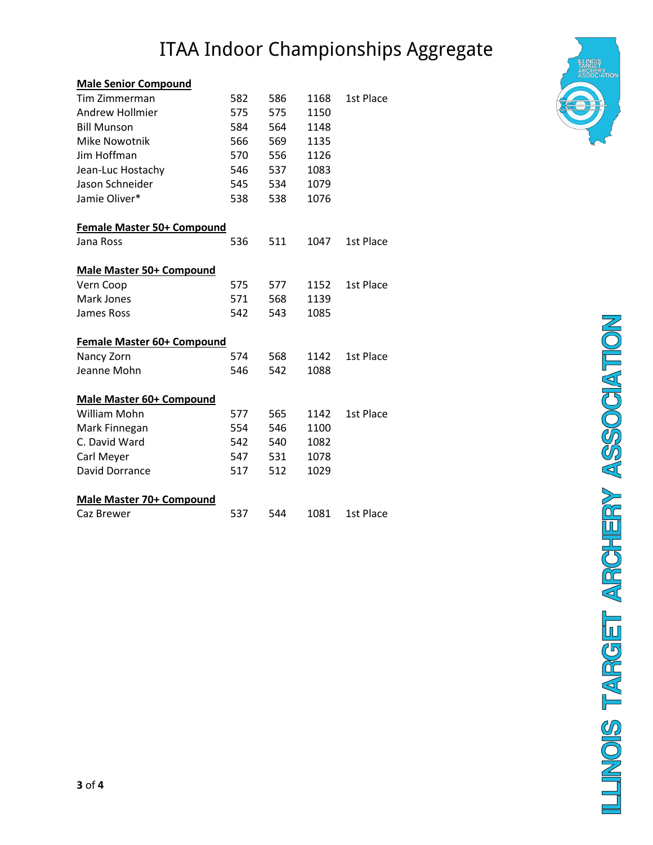#### **Male Senior Compound**

| Tim Zimmerman                     | 582 | 586 | 1168 | 1st Place |  |  |  |  |  |  |  |
|-----------------------------------|-----|-----|------|-----------|--|--|--|--|--|--|--|
| Andrew Hollmier                   | 575 | 575 | 1150 |           |  |  |  |  |  |  |  |
| <b>Bill Munson</b>                | 584 | 564 | 1148 |           |  |  |  |  |  |  |  |
| <b>Mike Nowotnik</b>              | 566 | 569 | 1135 |           |  |  |  |  |  |  |  |
| Jim Hoffman                       | 570 | 556 | 1126 |           |  |  |  |  |  |  |  |
| Jean-Luc Hostachy                 | 546 | 537 | 1083 |           |  |  |  |  |  |  |  |
| Jason Schneider                   | 545 | 534 | 1079 |           |  |  |  |  |  |  |  |
| Jamie Oliver*                     | 538 | 538 | 1076 |           |  |  |  |  |  |  |  |
| <b>Female Master 50+ Compound</b> |     |     |      |           |  |  |  |  |  |  |  |
| Jana Ross                         | 536 | 511 | 1047 | 1st Place |  |  |  |  |  |  |  |
| <b>Male Master 50+ Compound</b>   |     |     |      |           |  |  |  |  |  |  |  |
| Vern Coop                         | 575 | 577 | 1152 | 1st Place |  |  |  |  |  |  |  |
| Mark Jones                        | 571 | 568 | 1139 |           |  |  |  |  |  |  |  |
| James Ross                        | 542 | 543 | 1085 |           |  |  |  |  |  |  |  |
| <b>Female Master 60+ Compound</b> |     |     |      |           |  |  |  |  |  |  |  |
| Nancy Zorn                        | 574 | 568 | 1142 | 1st Place |  |  |  |  |  |  |  |
| Jeanne Mohn                       | 546 | 542 | 1088 |           |  |  |  |  |  |  |  |
| <b>Male Master 60+ Compound</b>   |     |     |      |           |  |  |  |  |  |  |  |
| William Mohn                      | 577 | 565 | 1142 | 1st Place |  |  |  |  |  |  |  |
| Mark Finnegan                     | 554 | 546 | 1100 |           |  |  |  |  |  |  |  |
| C. David Ward                     | 542 | 540 | 1082 |           |  |  |  |  |  |  |  |
| Carl Meyer                        | 547 | 531 | 1078 |           |  |  |  |  |  |  |  |
| David Dorrance                    | 517 | 512 | 1029 |           |  |  |  |  |  |  |  |
| <b>Male Master 70+ Compound</b>   |     |     |      |           |  |  |  |  |  |  |  |
| Caz Brewer                        | 537 | 544 | 1081 | 1st Place |  |  |  |  |  |  |  |